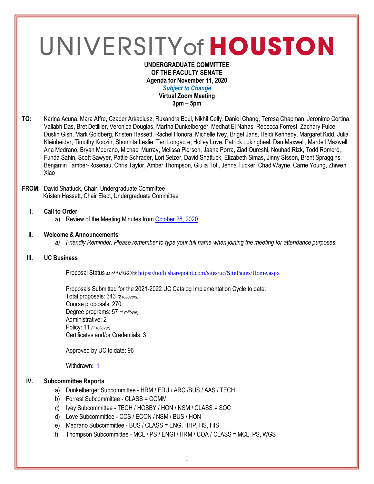# UNIVERSITY of HOUSTON

#### **UNDERGRADUATE COMMITTEE OF THE FACULTY SENATE Agenda for November 11, 2020** *Subject to Change* **Virtual Zoom Meeting 3pm – 5pm**

**TO:** Karina Acuna, Mara Affre, Czader Arkadiusz, Ruxandra Boul, Nikhil Celly, Daniel Chang, Teresa Chapman, Jeronimo Cortina, Vallabh Das, Bret Detillier, Veronica Douglas, Martha Dunkelberger, Medhat El Nahas, Rebecca Forrest, Zachary Fulce, Dustin Gish, Mark Goldberg, Kristen Hassett, Rachel Honora, Michelle Ivey, Briget Jans, Heidi Kennedy, Margaret Kidd, Julia Kleinheider, Timothy Koozin, Shonnita Leslie, Teri Longacre, Holley Love, Patrick Lukingbeal, Dan Maxwell, Mardell Maxwell, Ana Medrano, Bryan Medrano, Michael Murray, Melissa Pierson, Jaana Porra, Ziad Qureshi, Nouhad Rizk, Todd Romero, Funda Sahin, Scott Sawyer, Pattie Schrader, Lori Selzer, David Shattuck, Elizabeth Simas, Jinny Sisson, Brent Spraggins, Benjamin Tamber-Rosenau, Chris Taylor, Amber Thompson, Giulia Toti, Jenna Tucker, Chad Wayne, Carrie Young, Zhiwen Xiao

### **FROM:** David Shattuck, Chair, Undergraduate Committee Kristen Hassett, Chair Elect, Undergraduate Committee

# **I. Call to Order**

a) Review of the Meeting Minutes from [October 28, 2020](https://uh.edu/undergraduate-committee/meetings/agendas-minutes/ay-2021/m_2020_1028.pdf)

# **II. Welcome & Announcements**

*a) Friendly Reminder: Please remember to type your full name when joining the meeting for attendance purposes.* 

## **III. UC Business**

Proposal Status *as of 11/03/2020:* <https://uofh.sharepoint.com/sites/uc/SitePages/Home.aspx>

Proposals Submitted for the 2021-2022 UC Catalog Implementation Cycle to date: Total proposals: 343 *(2 rollovers)* Course proposals: 270 Degree programs: 57 *(1 rollover)* Administrative: 2 Policy: 11 *(1 rollover)* Certificates and/or Credentials: 3

Approved by UC to date: 96

Withdrawn: [1](https://uofh.sharepoint.com/sites/uc/Lists/ProposalSubmissionAndTracking/Submitted%20Proposals%20%20Current%20Year%20%20Grouped.aspx?FilterField1=Proposal%5Fx0020%5FStatus&FilterValue1=Withdrawn%20%2D%20See%20Proposal%20Notes&FilterType1=Choice&viewid=3e8f7d7c%2Dd8a4%2D43cd%2D8f0e%2D60cc2ac81fe6)

# **IV. Subcommittee Reports**

- a) Dunkelberger Subcommittee HRM / EDU / ARC /BUS / AAS / TECH
- b) Forrest Subcommittee CLASS = COMM
- c) Ivey Subcommittee TECH / HOBBY / HON / NSM / CLASS = SOC
- d) Love Subcommittee CCS / ECON / NSM / BUS / HON
- e) Medrano Subcommittee BUS / CLASS = ENG, HHP, HS, HIS
- f) Thompson Subcommittee MCL / PS / ENGI / HRM / COA / CLASS = MCL, PS, WGS